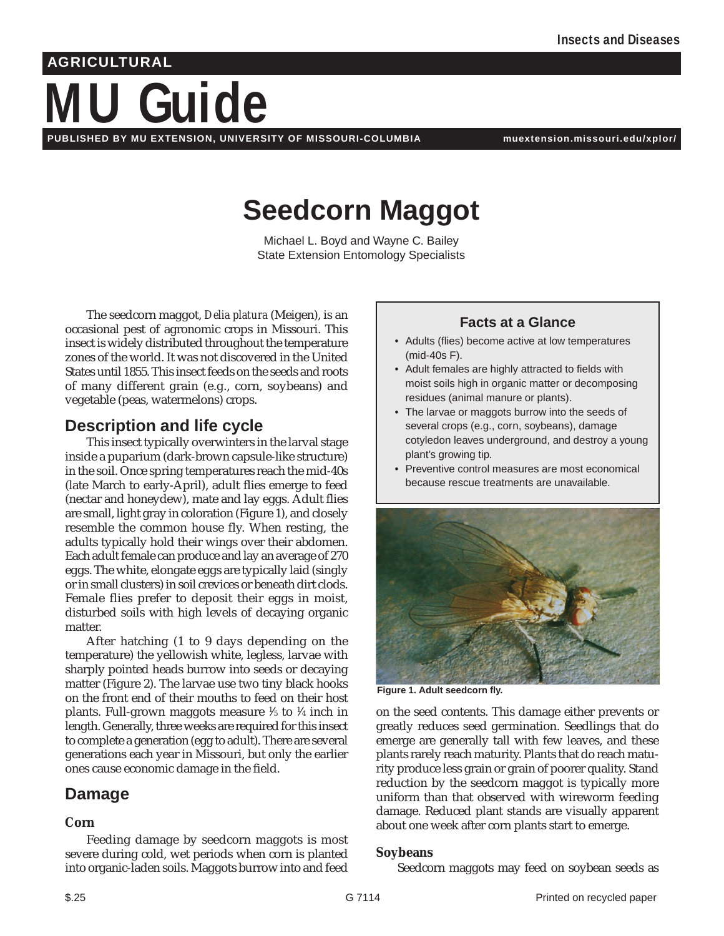## **AGRICULTURAL**

# **MU Guide PUBLISHED BY MU EXTENSION, UNIVERSITY OF MISSOURI-COLUMBIA muextension.missouri.edu/xplor/**

## **Seedcorn Maggot**

Michael L. Boyd and Wayne C. Bailey State Extension Entomology Specialists

The seedcorn maggot, *Delia platura* (Meigen), is an occasional pest of agronomic crops in Missouri. This insect is widely distributed throughout the temperature zones of the world. It was not discovered in the United States until 1855. This insect feeds on the seeds and roots of many different grain (e.g., corn, soybeans) and vegetable (peas, watermelons) crops.

## **Description and life cycle**

This insect typically overwinters in the larval stage inside a puparium (dark-brown capsule-like structure) in the soil. Once spring temperatures reach the mid-40s (late March to early-April), adult flies emerge to feed (nectar and honeydew), mate and lay eggs. Adult flies are small, light gray in coloration (Figure 1), and closely resemble the common house fly. When resting, the adults typically hold their wings over their abdomen. Each adult female can produce and lay an average of 270 eggs. The white, elongate eggs are typically laid (singly or in small clusters) in soil crevices or beneath dirt clods. Female flies prefer to deposit their eggs in moist, disturbed soils with high levels of decaying organic matter.

After hatching (1 to 9 days depending on the temperature) the yellowish white, legless, larvae with sharply pointed heads burrow into seeds or decaying matter (Figure 2). The larvae use two tiny black hooks on the front end of their mouths to feed on their host plants. Full-grown maggots measure 1 ⁄5 to 1 ⁄4 inch in length. Generally, three weeks are required for this insect to complete a generation (egg to adult). There are several generations each year in Missouri, but only the earlier ones cause economic damage in the field.

## **Damage**

#### **Corn**

Feeding damage by seedcorn maggots is most severe during cold, wet periods when corn is planted into organic-laden soils. Maggots burrow into and feed

#### **Facts at a Glance**

- Adults (flies) become active at low temperatures (mid-40s F).
- Adult females are highly attracted to fields with moist soils high in organic matter or decomposing residues (animal manure or plants).
- The larvae or maggots burrow into the seeds of several crops (e.g., corn, soybeans), damage cotyledon leaves underground, and destroy a young plant's growing tip.
- Preventive control measures are most economical because rescue treatments are unavailable.



**Figure 1. Adult seedcorn fly.**

on the seed contents. This damage either prevents or greatly reduces seed germination. Seedlings that do emerge are generally tall with few leaves, and these plants rarely reach maturity. Plants that do reach maturity produce less grain or grain of poorer quality. Stand reduction by the seedcorn maggot is typically more uniform than that observed with wireworm feeding damage. Reduced plant stands are visually apparent about one week after corn plants start to emerge.

#### **Soybeans**

Seedcorn maggots may feed on soybean seeds as